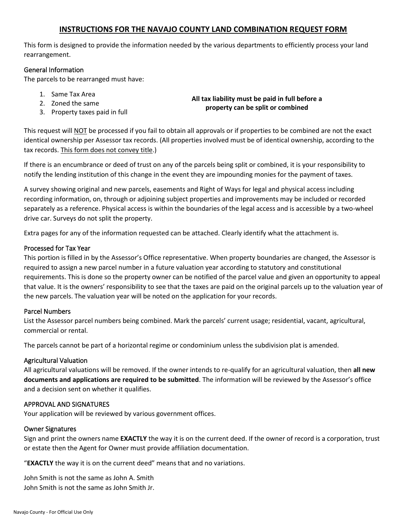## **INSTRUCTIONS FOR THE NAVAJO COUNTY LAND COMBINATION REQUEST FORM**

This form is designed to provide the information needed by the various departments to efficiently process your land rearrangement.

## General Information

The parcels to be rearranged must have:

- 1. Same Tax Area
- 2. Zoned the same
- 3. Property taxes paid in full

**All tax liability must be paid in full before a property can be split or combined**

This request will NOT be processed if you fail to obtain all approvals or if properties to be combined are not the exact identical ownership per Assessor tax records. (All properties involved must be of identical ownership, according to the tax records. This form does not convey title.)

If there is an encumbrance or deed of trust on any of the parcels being split or combined, it is your responsibility to notify the lending institution of this change in the event they are impounding monies for the payment of taxes.

A survey showing original and new parcels, easements and Right of Ways for legal and physical access including recording information, on, through or adjoining subject properties and improvements may be included or recorded separately as a reference. Physical access is within the boundaries of the legal access and is accessible by a two-wheel drive car. Surveys do not split the property.

Extra pages for any of the information requested can be attached. Clearly identify what the attachment is.

## Processed for Tax Year

This portion is filled in by the Assessor's Office representative. When property boundaries are changed, the Assessor is required to assign a new parcel number in a future valuation year according to statutory and constitutional requirements. This is done so the property owner can be notified of the parcel value and given an opportunity to appeal that value. It is the owners' responsibility to see that the taxes are paid on the original parcels up to the valuation year of the new parcels. The valuation year will be noted on the application for your records.

### Parcel Numbers

List the Assessor parcel numbers being combined. Mark the parcels' current usage; residential, vacant, agricultural, commercial or rental.

The parcels cannot be part of a horizontal regime or condominium unless the subdivision plat is amended.

### Agricultural Valuation

All agricultural valuations will be removed. If the owner intends to re-qualify for an agricultural valuation, then **all new documents and applications are required to be submitted**. The information will be reviewed by the Assessor's office and a decision sent on whether it qualifies.

### APPROVAL AND SIGNATURES

Your application will be reviewed by various government offices.

### Owner Signatures

Sign and print the owners name **EXACTLY** the way it is on the current deed. If the owner of record is a corporation, trust or estate then the Agent for Owner must provide affiliation documentation.

"**EXACTLY** the way it is on the current deed" means that and no variations.

John Smith is not the same as John A. Smith John Smith is not the same as John Smith Jr.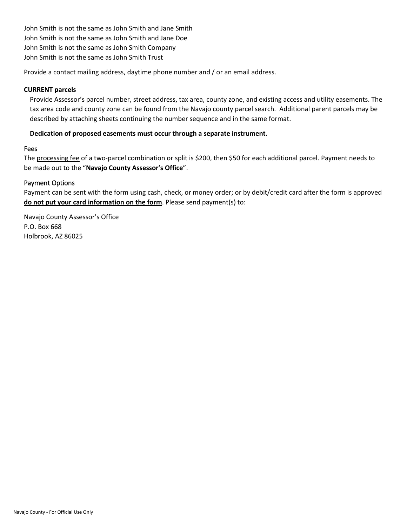John Smith is not the same as John Smith and Jane Smith John Smith is not the same as John Smith and Jane Doe John Smith is not the same as John Smith Company John Smith is not the same as John Smith Trust

Provide a contact mailing address, daytime phone number and / or an email address.

## **CURRENT parcels**

Provide Assessor's parcel number, street address, tax area, county zone, and existing access and utility easements. The tax area code and county zone can be found from the Navajo county parcel search. Additional parent parcels may be described by attaching sheets continuing the number sequence and in the same format.

## **Dedication of proposed easements must occur through a separate instrument.**

### Fees

The processing fee of a two-parcel combination or split is \$200, then \$50 for each additional parcel. Payment needs to be made out to the "**Navajo County Assessor's Office**".

## Payment Options

Payment can be sent with the form using cash, check, or money order; or by debit/credit card after the form is approved **do not put your card information on the form**. Please send payment(s) to:

Navajo County Assessor's Office P.O. Box 668 Holbrook, AZ 86025